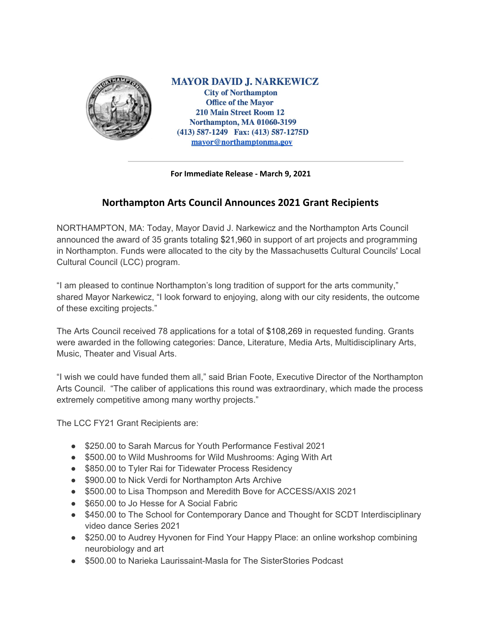

**MAYOR DAVID J. NARKEWICZ City of Northampton Office of the Mayor 210 Main Street Room 12 Northampton, MA 01060-3199** (413) 587-1249 Fax: (413) 587-1275D mayor@northamptonma.gov

## **For Immediate Release - March 9, 2021**

## **Northampton Arts Council Announces 2021 Grant Recipients**

NORTHAMPTON, MA: Today, Mayor David J. Narkewicz and the Northampton Arts Council announced the award of 35 grants totaling \$21,960 in support of art projects and programming in Northampton. Funds were allocated to the city by the Massachusetts Cultural Councils' Local Cultural Council (LCC) program.

"I am pleased to continue Northampton's long tradition of support for the arts community," shared Mayor Narkewicz, "I look forward to enjoying, along with our city residents, the outcome of these exciting projects."

The Arts Council received 78 applications for a total of \$108,269 in requested funding. Grants were awarded in the following categories: Dance, Literature, Media Arts, Multidisciplinary Arts, Music, Theater and Visual Arts.

"I wish we could have funded them all," said Brian Foote, Executive Director of the Northampton Arts Council. "The caliber of applications this round was extraordinary, which made the process extremely competitive among many worthy projects."

The LCC FY21 Grant Recipients are:

- \$250.00 to Sarah Marcus for Youth Performance Festival 2021
- \$500.00 to Wild Mushrooms for Wild Mushrooms: Aging With Art
- \$850.00 to Tyler Rai for Tidewater Process Residency
- \$900.00 to Nick Verdi for Northampton Arts Archive
- \$500.00 to Lisa Thompson and Meredith Bove for ACCESS/AXIS 2021
- \$650.00 to Jo Hesse for A Social Fabric
- \$450.00 to The School for Contemporary Dance and Thought for SCDT Interdisciplinary video dance Series 2021
- \$250.00 to Audrey Hyvonen for Find Your Happy Place: an online workshop combining neurobiology and art
- \$500.00 to Narieka Laurissaint-Masla for The SisterStories Podcast